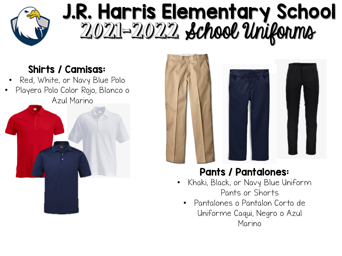

## J.R. Harris Elementary School 2021-2022 School Uniforms

#### Shirts / Camisas:

- Red, White, or Navy Blue Polo
- Playera Polo Color Rojo, Blanco o Azul Marino





#### Pants / Pantalones:

- Khaki, Black, or Navy Blue Uniform Pants or Shorts
	- Pantalones o Pantalon Corto de Uniforme Caqui, Negro o Azul Marino